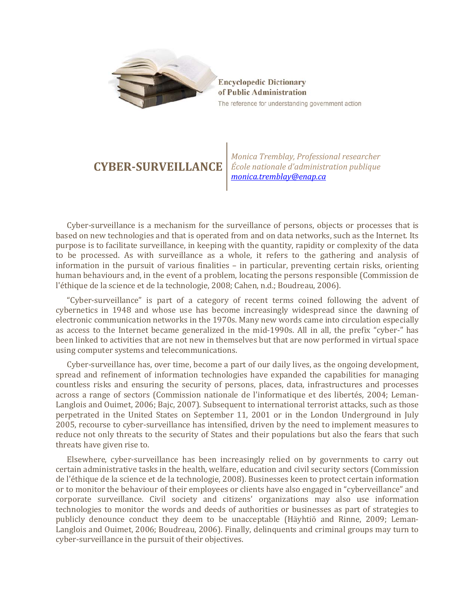

**Encyclopedic Dictionary** of Public Administration The reference for understanding government action

## **CYBER-SURVEILLANCE**

*Monica Tremblay, Professional researcher École nationale d'administration publique [monica.tremblay@enap.ca](mailto:monica.tremblay@enap.ca)*

Cyber-surveillance is a mechanism for the surveillance of persons, objects or processes that is based on new technologies and that is operated from and on data networks, such as the Internet. Its purpose is to facilitate surveillance, in keeping with the quantity, rapidity or complexity of the data to be processed. As with surveillance as a whole, it refers to the gathering and analysis of information in the pursuit of various finalities – in particular, preventing certain risks, orienting human behaviours and, in the event of a problem, locating the persons responsible (Commission de l'éthique de la science et de la technologie, 2008; Cahen, n.d.; Boudreau, 2006).

"Cyber-surveillance" is part of a category of recent terms coined following the advent of cybernetics in 1948 and whose use has become increasingly widespread since the dawning of electronic communication networks in the 1970s. Many new words came into circulation especially as access to the Internet became generalized in the mid-1990s. All in all, the prefix "cyber-" has been linked to activities that are not new in themselves but that are now performed in virtual space using computer systems and telecommunications.

Cyber-surveillance has, over time, become a part of our daily lives, as the ongoing development, spread and refinement of information technologies have expanded the capabilities for managing countless risks and ensuring the security of persons, places, data, infrastructures and processes across a range of sectors (Commission nationale de l'informatique et des libertés, 2004; Leman-Langlois and Ouimet, 2006; Bajc, 2007). Subsequent to international terrorist attacks, such as those perpetrated in the United States on September 11, 2001 or in the London Underground in July 2005, recourse to cyber-surveillance has intensified, driven by the need to implement measures to reduce not only threats to the security of States and their populations but also the fears that such threats have given rise to.

Elsewhere, cyber-surveillance has been increasingly relied on by governments to carry out certain administrative tasks in the health, welfare, education and civil security sectors (Commission de l'éthique de la science et de la technologie, 2008). Businesses keen to protect certain information or to monitor the behaviour of their employees or clients have also engaged in "cyberveillance" and corporate surveillance. Civil society and citizens' organizations may also use information technologies to monitor the words and deeds of authorities or businesses as part of strategies to publicly denounce conduct they deem to be unacceptable (Häyhtiö and Rinne, 2009; Leman-Langlois and Ouimet, 2006; Boudreau, 2006). Finally, delinquents and criminal groups may turn to cyber-surveillance in the pursuit of their objectives.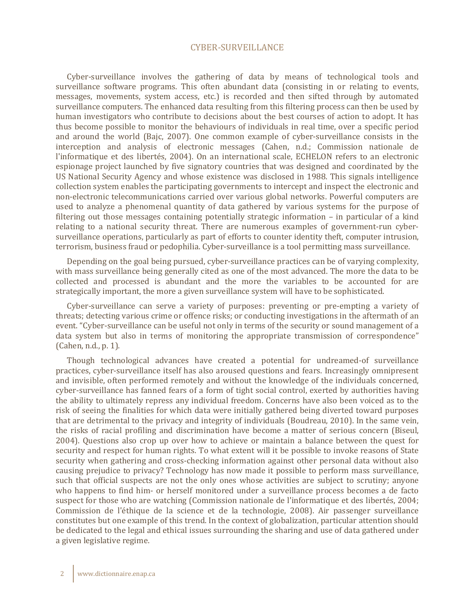## CYBER-SURVEILLANCE

Cyber-surveillance involves the gathering of data by means of technological tools and surveillance software programs. This often abundant data (consisting in or relating to events, messages, movements, system access, etc.) is recorded and then sifted through by automated surveillance computers. The enhanced data resulting from this filtering process can then be used by human investigators who contribute to decisions about the best courses of action to adopt. It has thus become possible to monitor the behaviours of individuals in real time, over a specific period and around the world (Bajc, 2007). One common example of cyber-surveillance consists in the interception and analysis of electronic messages (Cahen, n.d.; Commission nationale de l'informatique et des libertés, 2004). On an international scale, ECHELON refers to an electronic espionage project launched by five signatory countries that was designed and coordinated by the US National Security Agency and whose existence was disclosed in 1988. This signals intelligence collection system enables the participating governments to intercept and inspect the electronic and non-electronic telecommunications carried over various global networks. Powerful computers are used to analyze a phenomenal quantity of data gathered by various systems for the purpose of filtering out those messages containing potentially strategic information – in particular of a kind relating to a national security threat. There are numerous examples of government-run cybersurveillance operations, particularly as part of efforts to counter identity theft, computer intrusion, terrorism, business fraud or pedophilia. Cyber-surveillance is a tool permitting mass surveillance.

Depending on the goal being pursued, cyber-surveillance practices can be of varying complexity, with mass surveillance being generally cited as one of the most advanced. The more the data to be collected and processed is abundant and the more the variables to be accounted for are strategically important, the more a given surveillance system will have to be sophisticated.

Cyber-surveillance can serve a variety of purposes: preventing or pre-empting a variety of threats; detecting various crime or offence risks; or conducting investigations in the aftermath of an event. "Cyber-surveillance can be useful not only in terms of the security or sound management of a data system but also in terms of monitoring the appropriate transmission of correspondence" (Cahen, n.d., p. 1).

Though technological advances have created a potential for undreamed-of surveillance practices, cyber-surveillance itself has also aroused questions and fears. Increasingly omnipresent and invisible, often performed remotely and without the knowledge of the individuals concerned, cyber-surveillance has fanned fears of a form of tight social control, exerted by authorities having the ability to ultimately repress any individual freedom. Concerns have also been voiced as to the risk of seeing the finalities for which data were initially gathered being diverted toward purposes that are detrimental to the privacy and integrity of individuals (Boudreau, 2010). In the same vein, the risks of racial profiling and discrimination have become a matter of serious concern (Biseul, 2004). Questions also crop up over how to achieve or maintain a balance between the quest for security and respect for human rights. To what extent will it be possible to invoke reasons of State security when gathering and cross-checking information against other personal data without also causing prejudice to privacy? Technology has now made it possible to perform mass surveillance, such that official suspects are not the only ones whose activities are subject to scrutiny; anyone who happens to find him- or herself monitored under a surveillance process becomes a de facto suspect for those who are watching (Commission nationale de l'informatique et des libertés, 2004; Commission de l'éthique de la science et de la technologie, 2008). Air passenger surveillance constitutes but one example of this trend. In the context of globalization, particular attention should be dedicated to the legal and ethical issues surrounding the sharing and use of data gathered under a given legislative regime.